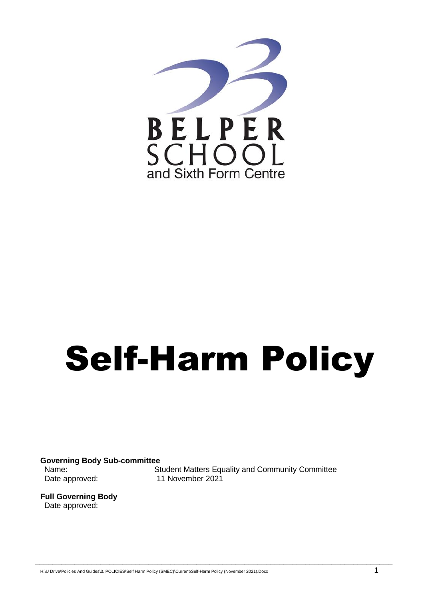

# Self-Harm Policy

\_\_\_\_\_\_\_\_\_\_\_\_\_\_\_\_\_\_\_\_\_\_\_\_\_\_\_\_\_\_\_\_\_\_\_\_\_\_\_\_\_\_\_\_\_\_\_\_\_\_\_\_\_\_\_\_\_\_\_\_\_\_\_\_\_\_\_\_\_\_\_\_\_\_\_\_\_\_\_\_\_\_

**Governing Body Sub-committee**

Name: Student Matters Equality and Community Committee Date approved: 11 November 2021

**Full Governing Body** Date approved:

H:\U Drive\Policies And Guides\3. POLICIES\Self Harm Policy (SMEC)\Current\Self-Harm Policy (November 2021).Docx 1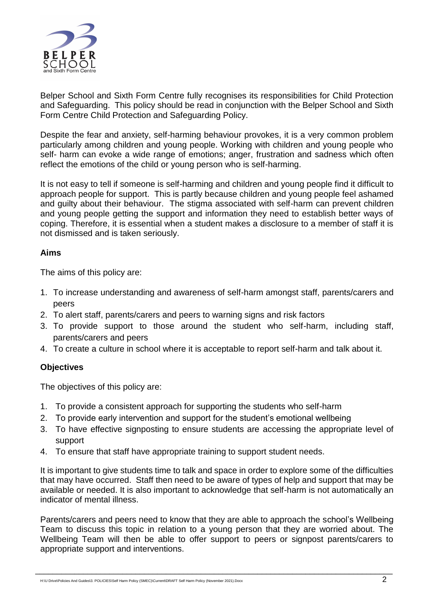

Belper School and Sixth Form Centre fully recognises its responsibilities for Child Protection and Safeguarding. This policy should be read in conjunction with the Belper School and Sixth Form Centre Child Protection and Safeguarding Policy.

Despite the fear and anxiety, self-harming behaviour provokes, it is a very common problem particularly among children and young people. Working with children and young people who self- harm can evoke a wide range of emotions; anger, frustration and sadness which often reflect the emotions of the child or young person who is self-harming.

It is not easy to tell if someone is self-harming and children and young people find it difficult to approach people for support. This is partly because children and young people feel ashamed and guilty about their behaviour. The stigma associated with self-harm can prevent children and young people getting the support and information they need to establish better ways of coping. Therefore, it is essential when a student makes a disclosure to a member of staff it is not dismissed and is taken seriously.

# **Aims**

The aims of this policy are:

- 1. To increase understanding and awareness of self-harm amongst staff, parents/carers and peers
- 2. To alert staff, parents/carers and peers to warning signs and risk factors
- 3. To provide support to those around the student who self-harm, including staff, parents/carers and peers
- 4. To create a culture in school where it is acceptable to report self-harm and talk about it.

#### **Objectives**

The objectives of this policy are:

- 1. To provide a consistent approach for supporting the students who self-harm
- 2. To provide early intervention and support for the student's emotional wellbeing
- 3. To have effective signposting to ensure students are accessing the appropriate level of support
- 4. To ensure that staff have appropriate training to support student needs.

It is important to give students time to talk and space in order to explore some of the difficulties that may have occurred. Staff then need to be aware of types of help and support that may be available or needed. It is also important to acknowledge that self-harm is not automatically an indicator of mental illness.

Parents/carers and peers need to know that they are able to approach the school's Wellbeing Team to discuss this topic in relation to a young person that they are worried about. The Wellbeing Team will then be able to offer support to peers or signpost parents/carers to appropriate support and interventions.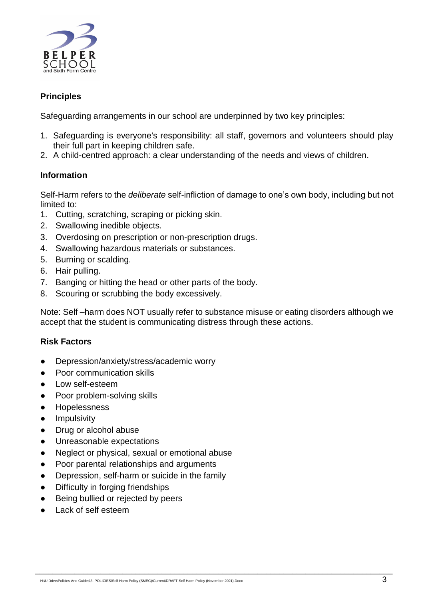

# **Principles**

Safeguarding arrangements in our school are underpinned by two key principles:

- 1. Safeguarding is everyone's responsibility: all staff, governors and volunteers should play their full part in keeping children safe.
- 2. A child-centred approach: a clear understanding of the needs and views of children.

# **Information**

Self-Harm refers to the *deliberate* self-infliction of damage to one's own body, including but not limited to:

- 1. Cutting, scratching, scraping or picking skin.
- 2. Swallowing inedible objects.
- 3. Overdosing on prescription or non-prescription drugs.
- 4. Swallowing hazardous materials or substances.
- 5. Burning or scalding.
- 6. Hair pulling.
- 7. Banging or hitting the head or other parts of the body.
- 8. Scouring or scrubbing the body excessively.

Note: Self –harm does NOT usually refer to substance misuse or eating disorders although we accept that the student is communicating distress through these actions.

\_\_\_\_\_\_\_\_\_\_\_\_\_\_\_\_\_\_\_\_\_\_\_\_\_\_\_\_\_\_\_\_\_\_\_\_\_\_\_\_\_\_\_\_\_\_\_\_\_\_\_\_\_\_\_\_\_\_\_\_\_\_\_\_\_\_\_\_\_\_\_\_\_\_\_\_\_\_\_\_\_\_

#### **Risk Factors**

- Depression/anxiety/stress/academic worry
- Poor communication skills
- Low self-esteem
- Poor problem-solving skills
- Hopelessness
- **•** Impulsivity
- Drug or alcohol abuse
- Unreasonable expectations
- Neglect or physical, sexual or emotional abuse
- Poor parental relationships and arguments
- Depression, self-harm or suicide in the family
- Difficulty in forging friendships
- Being bullied or rejected by peers
- **Lack of self esteem**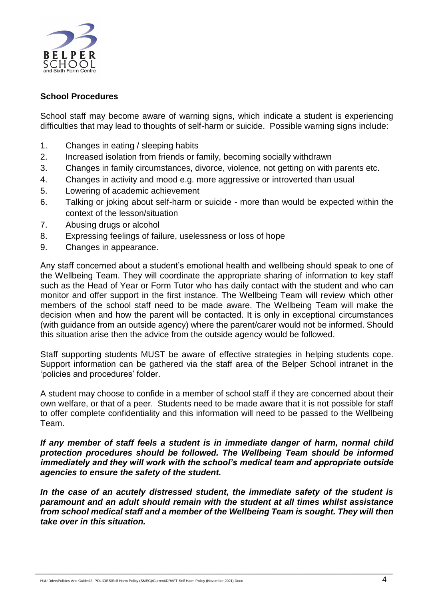

# **School Procedures**

School staff may become aware of warning signs, which indicate a student is experiencing difficulties that may lead to thoughts of self-harm or suicide. Possible warning signs include:

- 1. Changes in eating / sleeping habits
- 2. Increased isolation from friends or family, becoming socially withdrawn
- 3. Changes in family circumstances, divorce, violence, not getting on with parents etc.
- 4. Changes in activity and mood e.g. more aggressive or introverted than usual
- 5. Lowering of academic achievement
- 6. Talking or joking about self-harm or suicide more than would be expected within the context of the lesson/situation
- 7. Abusing drugs or alcohol
- 8. Expressing feelings of failure, uselessness or loss of hope
- 9. Changes in appearance.

Any staff concerned about a student's emotional health and wellbeing should speak to one of the Wellbeing Team. They will coordinate the appropriate sharing of information to key staff such as the Head of Year or Form Tutor who has daily contact with the student and who can monitor and offer support in the first instance. The Wellbeing Team will review which other members of the school staff need to be made aware. The Wellbeing Team will make the decision when and how the parent will be contacted. It is only in exceptional circumstances (with guidance from an outside agency) where the parent/carer would not be informed. Should this situation arise then the advice from the outside agency would be followed.

Staff supporting students MUST be aware of effective strategies in helping students cope. Support information can be gathered via the staff area of the Belper School intranet in the 'policies and procedures' folder.

A student may choose to confide in a member of school staff if they are concerned about their own welfare, or that of a peer. Students need to be made aware that it is not possible for staff to offer complete confidentiality and this information will need to be passed to the Wellbeing Team.

*If any member of staff feels a student is in immediate danger of harm, normal child protection procedures should be followed. The Wellbeing Team should be informed immediately and they will work with the school's medical team and appropriate outside agencies to ensure the safety of the student.* 

*In the case of an acutely distressed student, the immediate safety of the student is paramount and an adult should remain with the student at all times whilst assistance from school medical staff and a member of the Wellbeing Team is sought. They will then take over in this situation.*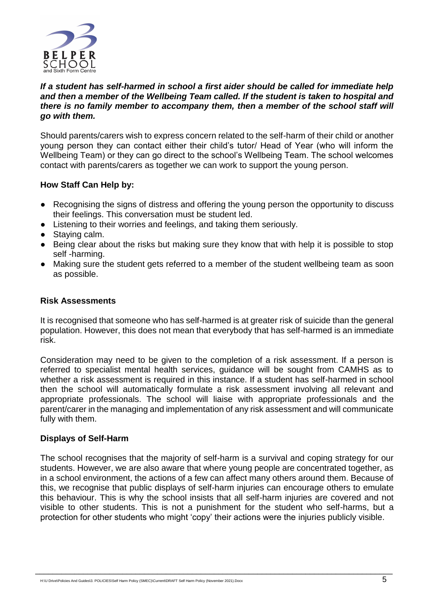

# *If a student has self-harmed in school a first aider should be called for immediate help and then a member of the Wellbeing Team called. If the student is taken to hospital and there is no family member to accompany them, then a member of the school staff will go with them.*

Should parents/carers wish to express concern related to the self-harm of their child or another young person they can contact either their child's tutor/ Head of Year (who will inform the Wellbeing Team) or they can go direct to the school's Wellbeing Team. The school welcomes contact with parents/carers as together we can work to support the young person.

# **How Staff Can Help by:**

- Recognising the signs of distress and offering the young person the opportunity to discuss their feelings. This conversation must be student led.
- Listening to their worries and feelings, and taking them seriously.
- Staving calm.
- Being clear about the risks but making sure they know that with help it is possible to stop self -harming.
- Making sure the student gets referred to a member of the student wellbeing team as soon as possible.

#### **Risk Assessments**

It is recognised that someone who has self-harmed is at greater risk of suicide than the general population. However, this does not mean that everybody that has self-harmed is an immediate risk.

Consideration may need to be given to the completion of a risk assessment. If a person is referred to specialist mental health services, guidance will be sought from CAMHS as to whether a risk assessment is required in this instance. If a student has self-harmed in school then the school will automatically formulate a risk assessment involving all relevant and appropriate professionals. The school will liaise with appropriate professionals and the parent/carer in the managing and implementation of any risk assessment and will communicate fully with them.

#### **Displays of Self-Harm**

The school recognises that the majority of self-harm is a survival and coping strategy for our students. However, we are also aware that where young people are concentrated together, as in a school environment, the actions of a few can affect many others around them. Because of this, we recognise that public displays of self-harm injuries can encourage others to emulate this behaviour. This is why the school insists that all self-harm injuries are covered and not visible to other students. This is not a punishment for the student who self-harms, but a protection for other students who might 'copy' their actions were the injuries publicly visible.